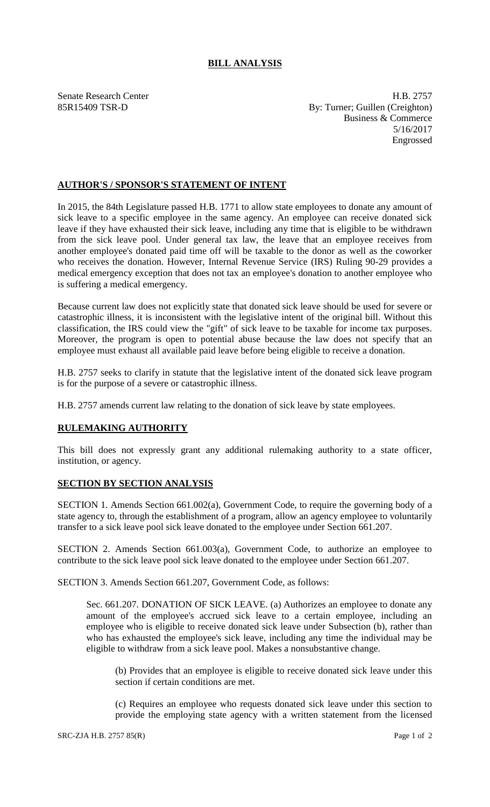## **BILL ANALYSIS**

Senate Research Center **H.B. 2757** 85R15409 TSR-D By: Turner; Guillen (Creighton) Business & Commerce 5/16/2017 Engrossed

## **AUTHOR'S / SPONSOR'S STATEMENT OF INTENT**

In 2015, the 84th Legislature passed H.B. 1771 to allow state employees to donate any amount of sick leave to a specific employee in the same agency. An employee can receive donated sick leave if they have exhausted their sick leave, including any time that is eligible to be withdrawn from the sick leave pool. Under general tax law, the leave that an employee receives from another employee's donated paid time off will be taxable to the donor as well as the coworker who receives the donation. However, Internal Revenue Service (IRS) Ruling 90-29 provides a medical emergency exception that does not tax an employee's donation to another employee who is suffering a medical emergency.

Because current law does not explicitly state that donated sick leave should be used for severe or catastrophic illness, it is inconsistent with the legislative intent of the original bill. Without this classification, the IRS could view the "gift" of sick leave to be taxable for income tax purposes. Moreover, the program is open to potential abuse because the law does not specify that an employee must exhaust all available paid leave before being eligible to receive a donation.

H.B. 2757 seeks to clarify in statute that the legislative intent of the donated sick leave program is for the purpose of a severe or catastrophic illness.

H.B. 2757 amends current law relating to the donation of sick leave by state employees.

## **RULEMAKING AUTHORITY**

This bill does not expressly grant any additional rulemaking authority to a state officer, institution, or agency.

## **SECTION BY SECTION ANALYSIS**

SECTION 1. Amends Section 661.002(a), Government Code, to require the governing body of a state agency to, through the establishment of a program, allow an agency employee to voluntarily transfer to a sick leave pool sick leave donated to the employee under Section 661.207.

SECTION 2. Amends Section 661.003(a), Government Code, to authorize an employee to contribute to the sick leave pool sick leave donated to the employee under Section 661.207.

SECTION 3. Amends Section 661.207, Government Code, as follows:

Sec. 661.207. DONATION OF SICK LEAVE. (a) Authorizes an employee to donate any amount of the employee's accrued sick leave to a certain employee, including an employee who is eligible to receive donated sick leave under Subsection (b), rather than who has exhausted the employee's sick leave, including any time the individual may be eligible to withdraw from a sick leave pool. Makes a nonsubstantive change.

(b) Provides that an employee is eligible to receive donated sick leave under this section if certain conditions are met.

(c) Requires an employee who requests donated sick leave under this section to provide the employing state agency with a written statement from the licensed